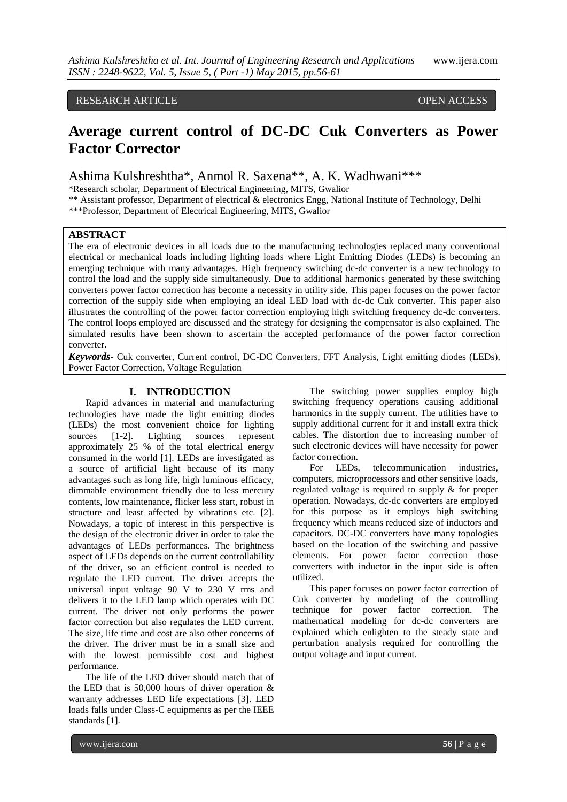# RESEARCH ARTICLE OPEN ACCESS

# **Average current control of DC-DC Cuk Converters as Power Factor Corrector**

Ashima Kulshreshtha\*, Anmol R. Saxena\*\*, A. K. Wadhwani\*\*\*

\*Research scholar, Department of Electrical Engineering, MITS, Gwalior

\*\* Assistant professor, Department of electrical & electronics Engg, National Institute of Technology, Delhi

\*\*\*Professor, Department of Electrical Engineering, MITS, Gwalior

# **ABSTRACT**

The era of electronic devices in all loads due to the manufacturing technologies replaced many conventional electrical or mechanical loads including lighting loads where Light Emitting Diodes (LEDs) is becoming an emerging technique with many advantages. High frequency switching dc-dc converter is a new technology to control the load and the supply side simultaneously. Due to additional harmonics generated by these switching converters power factor correction has become a necessity in utility side. This paper focuses on the power factor correction of the supply side when employing an ideal LED load with dc-dc Cuk converter. This paper also illustrates the controlling of the power factor correction employing high switching frequency dc-dc converters. The control loops employed are discussed and the strategy for designing the compensator is also explained. The simulated results have been shown to ascertain the accepted performance of the power factor correction converter**.**

*Keywords***-** Cuk converter, Current control, DC-DC Converters, FFT Analysis, Light emitting diodes (LEDs), Power Factor Correction, Voltage Regulation

# **I. INTRODUCTION**

Rapid advances in material and manufacturing technologies have made the light emitting diodes (LEDs) the most convenient choice for lighting sources [1-2]. Lighting sources represent approximately 25 % of the total electrical energy consumed in the world [1]. LEDs are investigated as a source of artificial light because of its many advantages such as long life, high luminous efficacy, dimmable environment friendly due to less mercury contents, low maintenance, flicker less start, robust in structure and least affected by vibrations etc. [2]. Nowadays, a topic of interest in this perspective is the design of the electronic driver in order to take the advantages of LEDs performances. The brightness aspect of LEDs depends on the current controllability of the driver, so an efficient control is needed to regulate the LED current. The driver accepts the universal input voltage 90 V to 230 V rms and delivers it to the LED lamp which operates with DC current. The driver not only performs the power factor correction but also regulates the LED current. The size, life time and cost are also other concerns of the driver. The driver must be in a small size and with the lowest permissible cost and highest performance.

The life of the LED driver should match that of the LED that is 50,000 hours of driver operation  $\&$ warranty addresses LED life expectations [3]. LED loads falls under Class-C equipments as per the IEEE standards [1].

The switching power supplies employ high switching frequency operations causing additional harmonics in the supply current. The utilities have to supply additional current for it and install extra thick cables. The distortion due to increasing number of such electronic devices will have necessity for power factor correction.

For LEDs, telecommunication industries, computers, microprocessors and other sensitive loads, regulated voltage is required to supply & for proper operation. Nowadays, dc-dc converters are employed for this purpose as it employs high switching frequency which means reduced size of inductors and capacitors. DC-DC converters have many topologies based on the location of the switching and passive elements. For power factor correction those converters with inductor in the input side is often utilized.

This paper focuses on power factor correction of Cuk converter by modeling of the controlling technique for power factor correction. The mathematical modeling for dc-dc converters are explained which enlighten to the steady state and perturbation analysis required for controlling the output voltage and input current.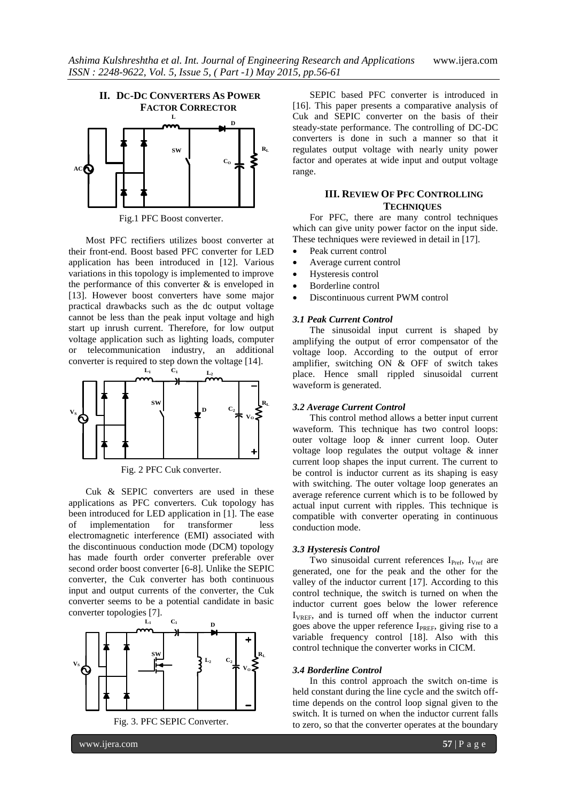

Fig.1 PFC Boost converter.

Most PFC rectifiers utilizes boost converter at their front-end. Boost based PFC converter for LED application has been introduced in [12]. Various variations in this topology is implemented to improve the performance of this converter & is enveloped in [13]. However boost converters have some major practical drawbacks such as the dc output voltage cannot be less than the peak input voltage and high start up inrush current. Therefore, for low output voltage application such as lighting loads, computer or telecommunication industry, an additional converter is required to step down the voltage [14].



Fig. 2 PFC Cuk converter.

Cuk & SEPIC converters are used in these applications as PFC converters. Cuk topology has been introduced for LED application in [1]. The ease of implementation for transformer less electromagnetic interference (EMI) associated with the discontinuous conduction mode (DCM) topology has made fourth order converter preferable over second order boost converter [6-8]. Unlike the SEPIC converter, the Cuk converter has both continuous input and output currents of the converter, the Cuk converter seems to be a potential candidate in basic converter topologies [7].



Fig. 3. PFC SEPIC Converter.

SEPIC based PFC converter is introduced in [16]. This paper presents a comparative analysis of Cuk and SEPIC converter on the basis of their steady-state performance. The controlling of DC-DC converters is done in such a manner so that it regulates output voltage with nearly unity power factor and operates at wide input and output voltage range.

# **III. REVIEW OF PFC CONTROLLING TECHNIQUES**

For PFC, there are many control techniques which can give unity power factor on the input side. These techniques were reviewed in detail in [17].

- Peak current control
- Average current control
- Hysteresis control
- Borderline control
- Discontinuous current PWM control

## *3.1 Peak Current Control*

The sinusoidal input current is shaped by amplifying the output of error compensator of the voltage loop. According to the output of error amplifier, switching  $ON \& OFF$  of switch takes place. Hence small rippled sinusoidal current waveform is generated.

### *3.2 Average Current Control*

This control method allows a better input current waveform. This technique has two control loops: outer voltage loop & inner current loop. Outer voltage loop regulates the output voltage & inner current loop shapes the input current. The current to be control is inductor current as its shaping is easy with switching. The outer voltage loop generates an average reference current which is to be followed by actual input current with ripples. This technique is compatible with converter operating in continuous conduction mode.

### *3.3 Hysteresis Control*

Two sinusoidal current references  $I_{\text{Pref}}$ ,  $I_{\text{Vref}}$  are generated, one for the peak and the other for the valley of the inductor current [17]. According to this control technique, the switch is turned on when the inductor current goes below the lower reference I<sub>VREF</sub>, and is turned off when the inductor current goes above the upper reference I<sub>PREF</sub>, giving rise to a variable frequency control [18]. Also with this control technique the converter works in CICM.

### *3.4 Borderline Control*

In this control approach the switch on-time is held constant during the line cycle and the switch offtime depends on the control loop signal given to the switch. It is turned on when the inductor current falls to zero, so that the converter operates at the boundary

www.ijera.com **57** | P a g e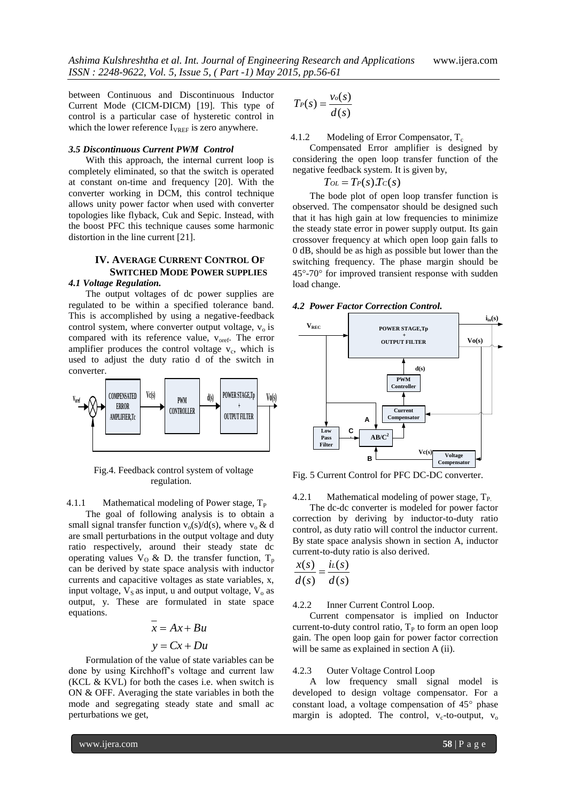between Continuous and Discontinuous Inductor Current Mode (CICM-DICM) [19]. This type of control is a particular case of hysteretic control in which the lower reference  $I_{VREF}$  is zero anywhere.

### *3.5 Discontinuous Current PWM Control*

With this approach, the internal current loop is completely eliminated, so that the switch is operated at constant on-time and frequency [20]. With the converter working in DCM, this control technique allows unity power factor when used with converter topologies like flyback, Cuk and Sepic. Instead, with the boost PFC this technique causes some harmonic distortion in the line current [21].

# **IV. AVERAGE CURRENT CONTROL OF SWITCHED MODE POWER SUPPLIES**

### *4.1 Voltage Regulation.*

The output voltages of dc power supplies are regulated to be within a specified tolerance band. This is accomplished by using a negative-feedback control system, where converter output voltage,  $v_0$  is compared with its reference value, v<sub>oref</sub>. The error amplifier produces the control voltage  $v_c$ , which is used to adjust the duty ratio d of the switch in converter.



 Fig.4. Feedback control system of voltage regulation.

4.1.1 Mathematical modeling of Power stage,  $T_P$ 

The goal of following analysis is to obtain a small signal transfer function  $v_0(s)/d(s)$ , where  $v_0 \& d$ are small perturbations in the output voltage and duty ratio respectively, around their steady state dc operating values  $V_0 \& D$ . the transfer function,  $T_p$ can be derived by state space analysis with inductor currents and capacitive voltages as state variables, x, input voltage,  $V_s$  as input, u and output voltage,  $V_o$  as output, y. These are formulated in state space equations.

# $y = Cx + Du$  $x = Ax + Bu$

Formulation of the value of state variables can be done by using Kirchhoff's voltage and current law (KCL & KVL) for both the cases i.e. when switch is ON & OFF. Averaging the state variables in both the mode and segregating steady state and small ac perturbations we get,

$$
T_P(s) = \frac{v_o(s)}{d(s)}
$$

4.1.2 Modeling of Error Compensator,  $T_c$ 

Compensated Error amplifier is designed by considering the open loop transfer function of the negative feedback system. It is given by,

 $T_{OL} = T_P(s)T_C(s)$ 

The bode plot of open loop transfer function is observed. The compensator should be designed such that it has high gain at low frequencies to minimize the steady state error in power supply output. Its gain crossover frequency at which open loop gain falls to 0 dB, should be as high as possible but lower than the switching frequency. The phase margin should be  $45^{\circ}$ -70 $^{\circ}$  for improved transient response with sudden load change.

## *4.2 Power Factor Correction Control.*



Fig. 5 Current Control for PFC DC-DC converter.

4.2.1 Mathematical modeling of power stage,  $T_P$ .

The dc-dc converter is modeled for power factor correction by deriving by inductor-to-duty ratio control, as duty ratio will control the inductor current. By state space analysis shown in section A, inductor current-to-duty ratio is also derived.

$$
\frac{x(s)}{d(s)} = \frac{i\iota(s)}{d(s)}
$$

4.2.2 Inner Current Control Loop.

Current compensator is implied on Inductor current-to-duty control ratio,  $T<sub>P</sub>$  to form an open loop gain. The open loop gain for power factor correction will be same as explained in section A (ii).

### 4.2.3 Outer Voltage Control Loop

A low frequency small signal model is developed to design voltage compensator. For a constant load, a voltage compensation of  $45^{\circ}$  phase margin is adopted. The control,  $v_c$ -to-output,  $v_o$ 

www.ijera.com **58** | P a g e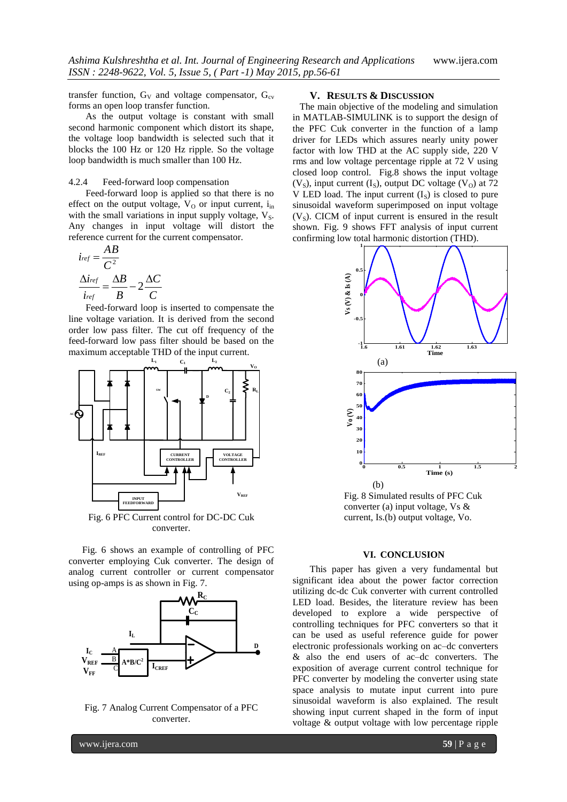transfer function,  $G_V$  and voltage compensator,  $G_{cv}$ forms an open loop transfer function.

As the output voltage is constant with small second harmonic component which distort its shape, the voltage loop bandwidth is selected such that it blocks the 100 Hz or 120 Hz ripple. So the voltage loop bandwidth is much smaller than 100 Hz.

### 4.2.4 Feed-forward loop compensation

Feed-forward loop is applied so that there is no effect on the output voltage,  $V_O$  or input current,  $i_{in}$ with the small variations in input supply voltage,  $V_S$ . Any changes in input voltage will distort the reference current for the current compensator.

$$
i_{ref} = \frac{AB}{C^2}
$$

$$
\frac{\Delta i_{ref}}{i_{ref}} = \frac{\Delta B}{B} - 2\frac{\Delta C}{C}
$$

Feed-forward loop is inserted to compensate the line voltage variation. It is derived from the second order low pass filter. The cut off frequency of the feed-forward low pass filter should be based on the maximum acceptable THD of the input current.<br> $L_1$   $C_1$   $L_2$ 



Fig. 6 shows an example of controlling of PFC converter employing Cuk converter. The design of analog current controller or current compensator using op-amps is as shown in Fig. 7.



Fig. 7 Analog Current Compensator of a PFC converter.

#### **V. RESULTS & DISCUSSION**

 The main objective of the modeling and simulation in MATLAB-SIMULINK is to support the design of the PFC Cuk converter in the function of a lamp driver for LEDs which assures nearly unity power factor with low THD at the AC supply side, 220 V rms and low voltage percentage ripple at 72 V using closed loop control. Fig.8 shows the input voltage  $(V<sub>S</sub>)$ , input current  $(I<sub>S</sub>)$ , output DC voltage  $(V<sub>O</sub>)$  at 72 V LED load. The input current  $(I<sub>S</sub>)$  is closed to pure sinusoidal waveform superimposed on input voltage  $(V<sub>s</sub>)$ . CICM of input current is ensured in the result shown. Fig. 9 shows FFT analysis of input current confirming low total harmonic distortion (THD).



Fig. 8 Simulated results of PFC Cuk converter (a) input voltage, Vs & current, Is.(b) output voltage, Vo.

### **VI. CONCLUSION**

This paper has given a very fundamental but significant idea about the power factor correction utilizing dc-dc Cuk converter with current controlled LED load. Besides, the literature review has been developed to explore a wide perspective of controlling techniques for PFC converters so that it can be used as useful reference guide for power electronic professionals working on ac–dc converters & also the end users of ac–dc converters. The exposition of average current control technique for PFC converter by modeling the converter using state space analysis to mutate input current into pure sinusoidal waveform is also explained. The result showing input current shaped in the form of input voltage & output voltage with low percentage ripple

www.ijera.com **59** | P a g e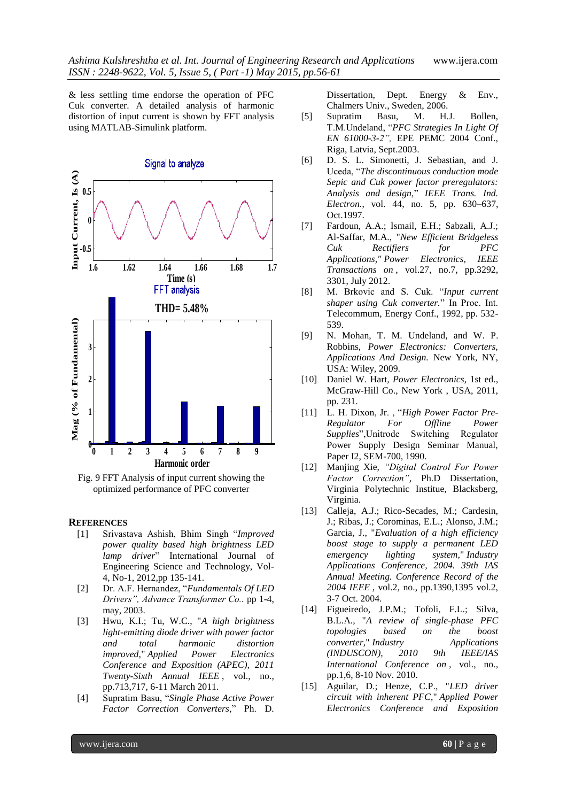& less settling time endorse the operation of PFC Cuk converter. A detailed analysis of harmonic distortion of input current is shown by FFT analysis using MATLAB-Simulink platform.



Fig. 9 FFT Analysis of input current showing the optimized performance of PFC converter

## **REFERENCES**

- [1] Srivastava Ashish, Bhim Singh "*Improved power quality based high brightness LED lamp driver*" International Journal of Engineering Science and Technology, Vol-4, No-1, 2012,pp 135-141.
- [2] Dr. A.F. Hernandez, "*Fundamentals Of LED Drivers", Advance Transformer Co..* pp 1-4, may, 2003.
- [3] Hwu, K.I.; Tu, W.C., "*A high brightness light-emitting diode driver with power factor and total harmonic distortion improved,*" *Applied Power Electronics Conference and Exposition (APEC), 2011 Twenty-Sixth Annual IEEE* , vol., no., pp.713,717, 6-11 March 2011.
- [4] Supratim Basu, "*Single Phase Active Power Factor Correction Converters*," Ph. D.

Dissertation, Dept. Energy & Env., Chalmers Univ., Sweden, 2006.

- [5] Supratim Basu, M. H.J. Bollen, T.M.Undeland, "*PFC Strategies In Light Of EN 61000-3-2",* EPE PEMC 2004 Conf., Riga, Latvia, Sept.2003.
- [6] D. S. L. Simonetti, J. Sebastian, and J. Uceda, "*The discontinuous conduction mode Sepic and Cuk power factor preregulators: Analysis and design,*" *IEEE Trans. Ind. Electron.*, vol. 44, no. 5, pp. 630–637, Oct.1997.
- [7] Fardoun, A.A.; Ismail, E.H.; Sabzali, A.J.; Al-Saffar, M.A., "*New Efficient Bridgeless Cuk Rectifiers for PFC Applications," Power Electronics, IEEE Transactions on* , vol.27, no.7, pp.3292, 3301, July 2012.
- [8] M. Brkovic and S. Cuk. "*Input current shaper using Cuk converter.*" In Proc. Int. Telecommum, Energy Conf., 1992, pp. 532- 539.
- [9] N. Mohan, T. M. Undeland, and W. P. Robbins, *Power Electronics: Converters, Applications And Design.* New York, NY, USA: Wiley, 2009.
- [10] Daniel W. Hart*, Power Electronics,* 1st ed., McGraw-Hill Co., New York , USA, 2011, pp. 231.
- [11] L. H. Dixon, Jr. , "*High Power Factor Pre-Regulator For Offline Power Supplies*", Unitrode Switching Power Supply Design Seminar Manual, Paper I2, SEM-700, 1990.
- [12] Manjing Xie, *"Digital Control For Power Factor Correction",* Ph.D Dissertation, Virginia Polytechnic Institue, Blacksberg, Virginia.
- [13] Calleja, A.J.; Rico-Secades, M.; Cardesin, J.; Ribas, J.; Corominas, E.L.; Alonso, J.M.; Garcia, J., "*Evaluation of a high efficiency boost stage to supply a permanent LED emergency lighting system,*" *Industry Applications Conference, 2004. 39th IAS Annual Meeting. Conference Record of the 2004 IEEE* , vol.2, no., pp.1390,1395 vol.2, 3-7 Oct. 2004.
- [14] Figueiredo, J.P.M.; Tofoli, F.L.; Silva, B.L.A., "*A review of single-phase PFC topologies based on the boost converter,*" *Industry Applications (INDUSCON), 2010 9th IEEE/IAS International Conference on* , vol., no., pp.1,6, 8-10 Nov. 2010.
- [15] Aguilar, D.; Henze, C.P., "*LED driver circuit with inherent PFC*," *Applied Power Electronics Conference and Exposition*